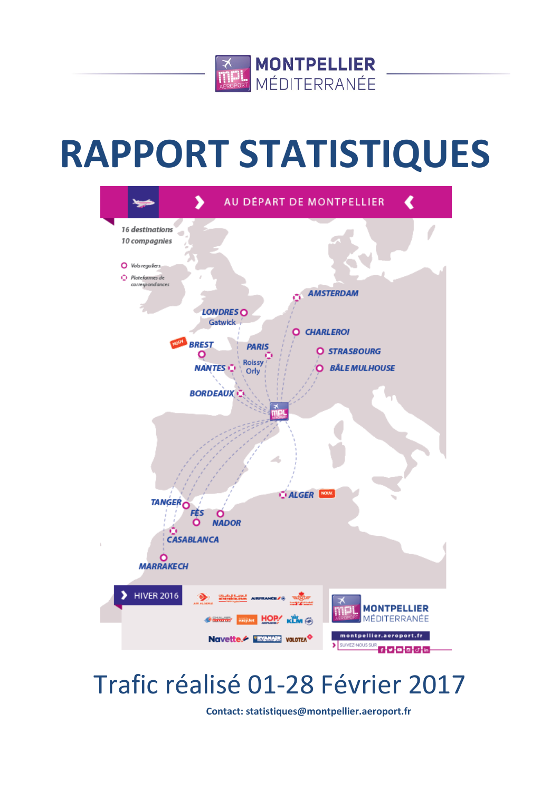

# **RAPPORT STATISTIQUES**



# Trafic réalisé 01-28 Février 2017

**Contact: statistiques@montpellier.aeroport.fr**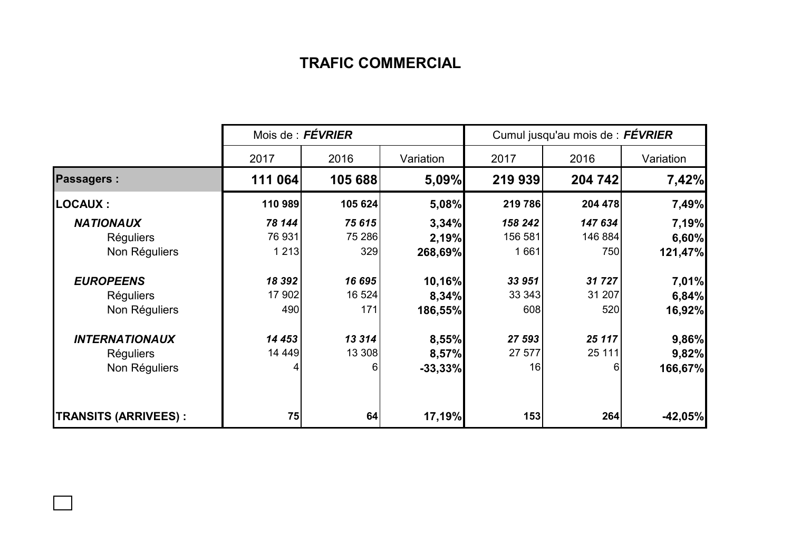## **TRAFIC COMMERCIAL**

|                             | Mois de : FÉVRIER |         |           | Cumul jusqu'au mois de : FÉVRIER |          |           |  |
|-----------------------------|-------------------|---------|-----------|----------------------------------|----------|-----------|--|
|                             | 2017              | 2016    | Variation | 2017                             | 2016     | Variation |  |
| <b>Passagers:</b>           | 111 064           | 105 688 | 5,09%     | 219 939                          | 204 742  | 7,42%     |  |
| <b>LOCAUX:</b>              | 110 989           | 105 624 | 5,08%     | 219 786                          | 204 478  | 7,49%     |  |
| <b>NATIONAUX</b>            | 78 144            | 75 615  | 3,34%     | 158 242                          | 147 634  | 7,19%     |  |
| <b>Réguliers</b>            | 76 931            | 75 286  | 2,19%     | 156 581                          | 146 884  | 6,60%     |  |
| Non Réguliers               | 1 2 1 3           | 329     | 268,69%   | 1661                             | 750      | 121,47%   |  |
| <b>EUROPEENS</b>            | 18 392            | 16 695  | 10,16%    | 33 951                           | 31 727   | 7,01%     |  |
| <b>Réguliers</b>            | 17 902            | 16 524  | 8,34%     | 33 343                           | 31 207   | 6,84%     |  |
| Non Réguliers               | 490               | 171     | 186,55%   | 608                              | 520      | 16,92%    |  |
| <b>INTERNATIONAUX</b>       | 14 453            | 13 314  | 8,55%     | 27 593                           | 25 117   | 9,86%     |  |
| <b>Réguliers</b>            | 14 449            | 13 308  | 8,57%     | 27 577                           | 25 111   | 9,82%     |  |
| Non Réguliers               |                   | 6       | $-33,33%$ | 16                               | $6 \mid$ | 166,67%   |  |
| <b>TRANSITS (ARRIVEES):</b> | 75                | 64      | 17,19%    | 153                              | 264      | $-42,05%$ |  |

 $\Box$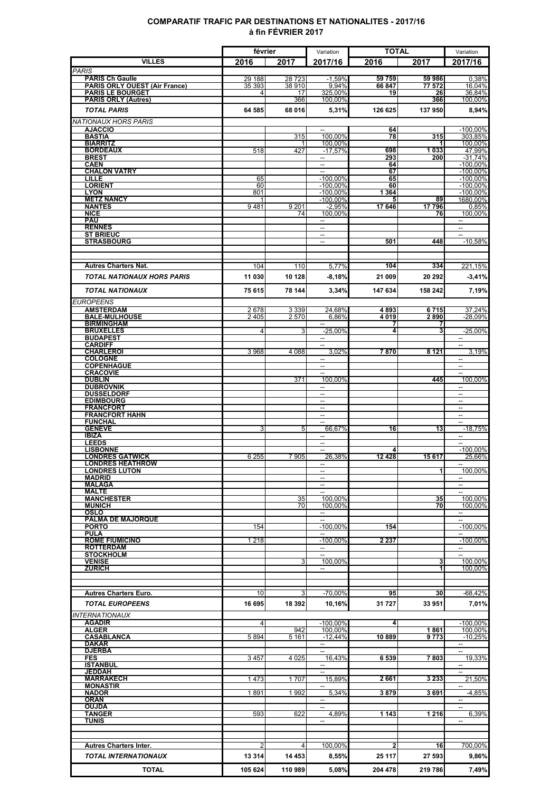### **COMPARATIF TRAFIC PAR DESTINATIONS ET NATIONALITES - 2017/16 à fin FÉVRIER 2017**

|                                                                | février          |                 | Variation                                            | <b>TOTAL</b>    |                  | Variation                                            |
|----------------------------------------------------------------|------------------|-----------------|------------------------------------------------------|-----------------|------------------|------------------------------------------------------|
| <b>VILLES</b>                                                  | 2016             | 2017            | 2017/16                                              | 2016            | 2017             | 2017/16                                              |
| <b>PARIS</b>                                                   |                  |                 |                                                      |                 |                  |                                                      |
| <b>PARIS Ch Gaulle</b><br><b>PARIS ORLY OUEST (Air France)</b> | 29 188<br>35 393 | 28723<br>38 910 | $-1.59%$<br>9.94%                                    | 59 759<br>66847 | 59 986<br>77 572 | 0.38%<br>16.04%                                      |
| <b>PARIS LE BOURGET</b>                                        | 4                | 17              | 325,00%                                              | 19              | 26               | 36,84%                                               |
| <b>PARIS ORLY (Autres)</b>                                     |                  | 366             | 100,00%                                              |                 | 366              | 100,00%                                              |
| <b>TOTAL PARIS</b>                                             | 64 585           | 68 016          | 5,31%                                                | 126 625         | 137950           | 8,94%                                                |
| <b>NATIONAUX HORS PARIS</b>                                    |                  |                 |                                                      |                 |                  |                                                      |
| <b>AJACCIO</b><br><b>BASTIA</b>                                |                  | 315             | --<br>100,00%                                        | 64<br>78        | 315              | $-100,00\%$<br>303,85%                               |
| <b>BIARRITZ</b>                                                |                  |                 | 100,00%                                              |                 |                  | 100,00%                                              |
| <b>BORDEAUX</b><br><b>BREST</b>                                | 518              | 427             | $-17,57%$                                            | 698<br>293      | 1033<br>200      | 47.99%<br>$-31,74%$                                  |
| <b>CAEN</b>                                                    |                  |                 | $\overline{a}$                                       | 64              |                  | $-100,00\%$                                          |
| <b>CHALON VATRY</b>                                            |                  |                 | $\overline{a}$                                       | 67              |                  | $-100,00\%$                                          |
| LILLE<br><b>LORIENT</b>                                        | 65<br>60         |                 | $-100,00%$<br>$-100,00%$                             | 65<br>60        |                  | $-100,00\%$<br>$-100,00\%$                           |
| <b>LYON</b>                                                    | 801              |                 | $-100.00\%$                                          | 1 3 6 4         |                  | $-100,00\%$                                          |
| <b>METZ NANCY</b><br><b>NANTES</b>                             | 1<br>9481        | 9 2 0 1         | $-100,00\%$<br>$-2,95%$                              | 5<br>17646      | 89<br>17796      | 1680,00%<br>0,85%                                    |
| <b>NICE</b>                                                    |                  | 74              | 100,00%                                              |                 | 76               | 100,00%                                              |
| <b>PAU</b>                                                     |                  |                 | $\overline{\phantom{a}}$                             |                 |                  | $\overline{\phantom{a}}$                             |
| <b>RENNES</b><br><b>ST BRIEUC</b>                              |                  |                 | --<br>ш.                                             |                 |                  | Ξ.<br>$\overline{a}$                                 |
| <b>STRASBOURG</b>                                              |                  |                 | $\sim$                                               | 501             | 448              | $-10.58%$                                            |
|                                                                |                  |                 |                                                      |                 |                  |                                                      |
|                                                                | 104              | 110             | 5,77%                                                | 104             | 334              | 221,15%                                              |
| <b>Autres Charters Nat.</b>                                    |                  |                 |                                                      |                 |                  |                                                      |
| <b>TOTAL NATIONAUX HORS PARIS</b>                              | 11 030           | 10 128          | $-8,18%$                                             | 21 009          | 20 29 2          | $-3,41%$                                             |
| <b>TOTAL NATIONAUX</b>                                         | 75 615           | 78 144          | 3.34%                                                | 147 634         | 158 242          | 7,19%                                                |
| <b>EUROPEENS</b>                                               |                  |                 |                                                      |                 |                  |                                                      |
| <b>AMSTERDAM</b>                                               | 2678             | 3 3 3 9         | 24,68%                                               | 4893            | 6715             | 37,24%                                               |
| <b>BALE-MULHOUSE</b><br><b>BIRMINGHAM</b>                      | 2405             | 2570            | 6,86%                                                | 4019<br>7       | 2890<br>7        | -28.09%                                              |
| <b>BRUXELLES</b>                                               | 4                | 3               | $-25,00%$                                            | 4               | 3                | $-25,00%$                                            |
| <b>BUDAPEST</b>                                                |                  |                 |                                                      |                 |                  |                                                      |
| <b>CARDIFF</b><br><b>CHARLEROI</b>                             | 3 9 68           | 4 0 8 8         | 3,02%                                                | 7870            | 8 1 2 1          | 3,19%                                                |
| <b>COLOGNE</b>                                                 |                  |                 | $\overline{a}$                                       |                 |                  | $\overline{\phantom{a}}$                             |
| <b>COPENHAGUE</b><br><b>CRACOVIE</b>                           |                  |                 | $\overline{\phantom{a}}$<br>$\overline{\phantom{a}}$ |                 |                  | $\overline{\phantom{a}}$<br>$\overline{\phantom{a}}$ |
| <b>DUBLIN</b>                                                  |                  | 371             | 100,00%                                              |                 | 445              | 100,00%                                              |
| <b>DUBROVNIK</b>                                               |                  |                 | $\overline{\phantom{a}}$                             |                 |                  | $\overline{\phantom{a}}$                             |
| <b>DUSSELDORF</b><br><b>EDIMBOURG</b>                          |                  |                 | $\overline{\phantom{a}}$<br>$\overline{\phantom{a}}$ |                 |                  | $\overline{\phantom{a}}$<br>$\overline{\phantom{a}}$ |
| <b>FRANCFORT</b>                                               |                  |                 | $\sim$                                               |                 |                  | $\sim$                                               |
| <b>FRANCFORT HAHN</b><br><b>FUNCHAL</b>                        |                  |                 | $\overline{\phantom{a}}$<br>$\overline{a}$           |                 |                  | $\overline{\phantom{a}}$<br>u.                       |
| <b>GENEVE</b>                                                  | 3                | 5               | 66,67%                                               | 16              | 13               | $-18,75%$                                            |
| <b>IBIZA</b>                                                   |                  |                 | $\sim$                                               |                 |                  | $\sim$                                               |
| <b>LEEDS</b><br><b>LISBONNE</b>                                |                  |                 | $\overline{\phantom{a}}$                             |                 |                  | $\overline{a}$<br>$-100,00\%$                        |
| <b>LONDRES GATWICK</b>                                         | 6 2 5 5          | 7905            | 26,38%                                               | 12 4 28         | 15617            | 25,66%                                               |
| <b>LONDRES HEATHROW</b><br><b>LONDRES LUTON</b>                |                  |                 | $\overline{a}$<br>--                                 |                 | 11               | $\overline{\phantom{a}}$<br>100,00%                  |
| <b>MADRID</b>                                                  |                  |                 | $\overline{a}$                                       |                 |                  |                                                      |
| <b>MALAGA</b>                                                  |                  |                 | $\overline{\phantom{a}}$                             |                 |                  | $\overline{\phantom{a}}$                             |
| <b>MALTE</b><br><b>MANCHESTER</b>                              |                  | 35              | 100,00%                                              |                 | 35               | 100,00%                                              |
| <b>MUNICH</b>                                                  |                  | 70              | 100.00%                                              |                 | 70               | 100.00%                                              |
| OSLO<br><b>PALMA DE MAJORQUE</b>                               |                  |                 | $\sim$                                               |                 |                  |                                                      |
| <b>PORTO</b>                                                   | 154              |                 | $-100,00\%$                                          | 154             |                  | $-100.00\%$                                          |
| <b>PULA</b>                                                    |                  |                 |                                                      |                 |                  |                                                      |
| <b>ROME FIUMICINO</b><br><b>ROTTERDAM</b>                      | 1 2 1 8          |                 | $-100,00\%$<br>$\overline{\phantom{a}}$              | 2 2 3 7         |                  | $-100,00\%$<br>$\overline{\phantom{a}}$              |
| <b>STOCKHOLM</b>                                               |                  |                 | --                                                   |                 |                  | $\overline{\phantom{a}}$                             |
| <b>VENISE</b><br><b>ZURICH</b>                                 |                  | 3               | 100,00%                                              |                 | 3<br>1           | 100,00%<br>100,00%                                   |
|                                                                |                  |                 |                                                      |                 |                  |                                                      |
|                                                                |                  |                 |                                                      |                 |                  |                                                      |
| <b>Autres Charters Euro.</b>                                   | 10               | 3               | -70,00%                                              | 95              | 30               | -68,42%                                              |
| <b>TOTAL EUROPEENS</b>                                         | 16 695           | 18 392          | 10,16%                                               | 31 727          | 33 951           | 7,01%                                                |
| <b>INTERNATIONAUX</b>                                          |                  |                 |                                                      |                 |                  |                                                      |
| <b>AGADIR</b>                                                  | $\overline{4}$   |                 | $-100,00\%$                                          | $\overline{4}$  |                  | -100,00%                                             |
| <b>ALGER</b><br><b>CASABLANCA</b>                              | 5894             | 942<br>5 1 6 1  | 100,00%<br>$-12,44%$                                 | 10889           | 1861<br>9773     | 100,00%<br>$-10,25%$                                 |
| DAKAR                                                          |                  |                 | $\overline{\phantom{a}}$                             |                 |                  | $-$                                                  |
| <b>DJERBA</b><br><b>FES</b>                                    | 3457             | 4 0 25          | --<br>16,43%                                         | 6 5 3 9         | 7803             | $\overline{\phantom{a}}$<br>19,33%                   |
| <b>ISTANBUL</b>                                                |                  |                 |                                                      |                 |                  |                                                      |
| <b>JEDDAH</b><br><b>MARRAKECH</b>                              |                  |                 |                                                      |                 |                  |                                                      |
| <b>MONASTIR</b>                                                | 1473             | 1707            | 15,89%<br>$\overline{a}$                             | 2661            | 3 2 3 3          | 21,50%<br>$\overline{\phantom{a}}$                   |
| <b>NADOR</b>                                                   | 1891             | 1992            | 5,34%                                                | 3879            | 3691             | $-4,85%$                                             |
| <b>ORAN</b><br><b>OUJDA</b>                                    |                  |                 | $\overline{\phantom{a}}$<br>$\overline{\phantom{a}}$ |                 |                  | $\overline{\phantom{a}}$                             |
| <b>TANGER</b>                                                  | 593              | 622             | 4,89%                                                | 1 1 4 3         | 1 2 1 6          | 6,39%                                                |
| <b>TUNIS</b>                                                   |                  |                 |                                                      |                 |                  |                                                      |
|                                                                |                  |                 |                                                      |                 |                  |                                                      |
| <b>Autres Charters Inter.</b>                                  | 2                | $\overline{4}$  | 100,00%                                              | $\mathbf{2}$    | 16               | 700,00%                                              |
| <b>TOTAL INTERNATIONAUX</b>                                    | 13 314           | 14 4 53         | 8,55%                                                | 25 117          | 27 593           | 9,86%                                                |
|                                                                |                  |                 |                                                      |                 |                  |                                                      |
| <b>TOTAL</b>                                                   | 105 624          | 110 989         | 5,08%                                                | 204 478         | 219 786          | 7,49%                                                |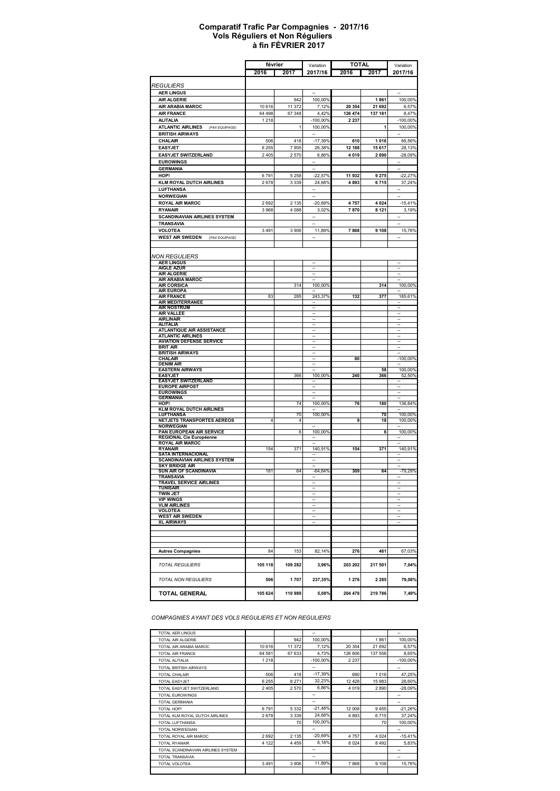#### **à fin FÉVRIER 2017 Comparatif Trafic Par Compagnies - 2017/16 Vols Réguliers et Non Réguliers**

|                                                          |         | février              | Variation                | <b>TOTAL</b> |         | Variation                                            |
|----------------------------------------------------------|---------|----------------------|--------------------------|--------------|---------|------------------------------------------------------|
|                                                          | 2016    | 2017                 | 2017/16                  | 2016         | 2017    | 2017/16                                              |
|                                                          |         |                      |                          |              |         |                                                      |
| <b>REGULIERS</b>                                         |         |                      |                          |              |         |                                                      |
| <b>AER LINGUS</b><br><b>AIR ALGERIE</b>                  |         | 942                  | 100,00%                  |              | 1861    | 100,00%                                              |
| AIR ARABIA MAROC                                         | 10 616  | 11 372               | 7,12%                    | 20 354       | 21 692  | 6,57%                                                |
| <b>AIR FRANCE</b>                                        | 64 498  | 67 348               | 4,42%                    | 126 474      | 137 181 | 8,47%                                                |
| <b>ALITALIA</b>                                          | 1 2 1 8 |                      | $-100,00%$               | 2 2 3 7      |         | $-100,00%$                                           |
| <b>ATLANTIC AIRLINES</b><br>(PAX EQUIPAGE)               |         | 1                    | 100,00%                  |              | 1       | 100,00%                                              |
| <b>BRITISH AIRWAYS</b>                                   |         |                      |                          |              |         |                                                      |
| CHALAIR                                                  | 506     | 418                  | $-17,39%$                | 610          | 1016    | 66,56%                                               |
| <b>EASYJET</b>                                           | 6 2 5 5 | 7905                 | 26,38%                   | 12 188       | 15617   | 28,13%                                               |
| <b>EASYJET SWITZERLAND</b>                               | 2 4 0 5 | 2570                 | 6,86%                    | 4 0 1 9      | 2890    | $-28,09%$                                            |
| <b>EUROWINGS</b>                                         |         |                      | ÷.                       |              |         | u,                                                   |
| <b>GERMANIA</b><br>HOP!                                  | 6791    | 5 2 5 8              | $-22,57%$                | 11 932       | 9 2 7 5 | $-22,27%$                                            |
| <b>KLM ROYAL DUTCH AIRLINES</b>                          | 2678    | 3 3 3 9              | 24,68%                   | 4893         | 6715    | 37,24%                                               |
| <b>LUFTHANSA</b>                                         |         |                      | -                        |              |         | -                                                    |
| <b>NORWEGIAN</b>                                         |         |                      |                          |              |         |                                                      |
| <b>ROYAL AIR MAROC</b>                                   | 2 6 9 2 | 2 1 3 5              | $-20,69%$                | 4757         | 4024    | $-15,41%$                                            |
| <b>RYANAIR</b>                                           | 3 9 6 8 | 4 0 8 8              | 3,02%                    | 7870         | 8 1 2 1 | 3,19%                                                |
| <b>SCANDINAVIAN AIRLINES SYSTEM</b>                      |         |                      |                          |              |         |                                                      |
| <b>TRANSAVIA</b>                                         |         |                      |                          |              |         | ÷,                                                   |
| <b>VOLOTEA</b>                                           | 3 4 9 1 | 3 906                | 11,89%                   | 7868         | 9 1 0 8 | 15,76%                                               |
| <b>WEST AIR SWEDEN</b> (PAX EQUIPAGE)                    |         |                      | $\overline{\phantom{a}}$ |              |         | $\overline{\phantom{a}}$                             |
|                                                          |         |                      |                          |              |         |                                                      |
| NON REGULIERS                                            |         |                      |                          |              |         |                                                      |
| <b>AER LINGUS</b>                                        |         |                      |                          |              |         |                                                      |
| <b>AIGLE AZUR</b>                                        |         |                      |                          |              |         | $\overline{\phantom{a}}$                             |
| <b>AIR ALGERIE</b><br><b>AIR ARABIA MAROC</b>            |         |                      | $\overline{\phantom{a}}$ |              |         | $\overline{\phantom{a}}$                             |
| <b>AIR CORSICA</b>                                       |         | 314                  | 100,00%                  |              | 314     | 100,00%                                              |
| <b>AIR EUROPA</b>                                        |         |                      |                          |              |         |                                                      |
| <b>AIR FRANCE</b><br><b>AIR MEDITERRANEE</b>             | 83      | 285                  | 243,37%                  | 132          | 377     | 185,61%                                              |
| <b>AIR NOSTRUM</b>                                       |         |                      |                          |              |         | ۰.                                                   |
| AIR VALLEE                                               |         |                      |                          |              |         | $\overline{\phantom{a}}$                             |
| <b>AIRLINAIR</b><br><b>ALITALIA</b>                      |         |                      |                          |              |         | $\overline{\phantom{a}}$<br>$\overline{\phantom{a}}$ |
| <b>ATLANTIQUE AIR ASSISTANCE</b>                         |         |                      |                          |              |         |                                                      |
| <b>ATLANTIC AIRLINES</b>                                 |         |                      |                          |              |         |                                                      |
| <b>AVIATION DEFENSE SERVICE</b><br>BRIT AIR              |         |                      |                          |              |         | $\overline{\phantom{a}}$<br>$\overline{\phantom{a}}$ |
| <b>BRITISH AIRWAYS</b>                                   |         |                      |                          |              |         |                                                      |
| CHALAIR                                                  |         |                      |                          | 80           |         | $-100,00\%$                                          |
| <b>DENIM AIR</b><br><b>EASTERN AIRWAYS</b>               |         |                      | $\overline{\phantom{a}}$ |              | 58      | 100,00%                                              |
| <b>EASYJET</b>                                           |         | 366                  | 100,00%                  | 240          | 366     | 52,50%                                               |
| <b>EASYJET SWITZERLAND</b>                               |         |                      |                          |              |         |                                                      |
| <b>EUROPE AIRPOST</b><br><b>EUROWINGS</b>                |         |                      |                          |              |         | --                                                   |
| <b>GERMANIA</b>                                          |         |                      |                          |              |         |                                                      |
| HOP!                                                     |         | 74                   | 100,00%                  | 76           | 180     | 136,84%                                              |
| <b>KLM ROYAL DUTCH AIRLINES</b>                          |         |                      | 100,00%                  |              | 70      |                                                      |
| LUFTHANSA<br><b>NETJETS TRANSPORTES AEREOS</b>           | 4       | 70<br>$\overline{4}$ |                          | 9            | 18      | 100,00%<br>100,00%                                   |
| <b>NORWEGIAN</b>                                         |         |                      |                          |              |         |                                                      |
| PAN EUROPEAN AIR SERVICE                                 |         | 6                    | 100,00%                  |              | 6       | 100,00%                                              |
| <b>REGIONAL Cie Européenne</b><br><b>ROYAL AIR MAROC</b> |         |                      |                          |              |         |                                                      |
| RYANAIR                                                  | 154     | 371                  | 140,91%                  | 154          | 371     | 140,91%                                              |
| <b>SATA INTERNACIONAL</b>                                |         |                      |                          |              |         |                                                      |
| SCANDINAVIAN AIRLINES SYSTEM<br><b>SKY BRIDGE AIR</b>    |         |                      |                          |              |         |                                                      |
| SUN AIR OF SCANDINAVIA                                   | 181     | 64                   | $-64,64%$                | 309          | 64      | $-79,29%$                                            |
| <b>TRANSAVIA</b>                                         |         |                      |                          |              |         |                                                      |
| TRAVEL SERVICE AIRLINES<br>TUNISAIR                      |         |                      |                          |              |         |                                                      |
| <b>TWIN JET</b>                                          |         |                      |                          |              |         |                                                      |
| <b>VIP WINGS</b>                                         |         |                      |                          |              |         | $\overline{\phantom{a}}$<br>$\overline{\phantom{a}}$ |
| <b>VLM AIRLINES</b><br><b>VOLOTEA</b>                    |         |                      |                          |              |         | $\overline{\phantom{a}}$                             |
| <b>WEST AIR SWEDEN</b>                                   |         |                      |                          |              |         | $\overline{\phantom{a}}$                             |
| <b>XL AIRWAYS</b>                                        |         |                      |                          |              |         | $\overline{\phantom{a}}$                             |
|                                                          |         |                      |                          |              |         |                                                      |
|                                                          |         |                      |                          |              |         |                                                      |
|                                                          |         |                      |                          |              |         |                                                      |
| <b>Autres Compagnies</b>                                 | 84      | 153                  | 82,14%                   | 276          | 461     | 67,03%                                               |
| <b>TOTAL REGULIERS</b>                                   | 105 118 | 109 282              |                          | 203 202      | 217 501 |                                                      |
|                                                          |         |                      | 3,96%                    |              |         | 7,04%                                                |
| TOTAL NON REGULIERS                                      | 506     | 1707                 | 237,35%                  | 1 2 7 6      | 2 2 8 5 | 79,08%                                               |
|                                                          |         |                      |                          |              |         |                                                      |
| <b>TOTAL GENERAL</b>                                     | 105 624 | 110 989              | 5,08%                    | 204 478      | 219 786 | 7,49%                                                |
|                                                          |         |                      |                          |              |         |                                                      |

*COMPAGNIES AYANT DES VOLS REGULIERS ET NON REGULIERS*

| <b>TOTAL AER LINGUS</b>            |         |         | $\overline{\phantom{a}}$ |         |         | $-$                      |
|------------------------------------|---------|---------|--------------------------|---------|---------|--------------------------|
| <b>TOTAL AIR ALGERIE</b>           |         | 942     | 100,00%                  |         | 1861    | 100,00%                  |
| TOTAL AIR ARABIA MAROC             | 10 616  | 11 372  | 7,12%                    | 20 354  | 21 692  | 6,57%                    |
| <b>TOTAL AIR FRANCE</b>            | 64 581  | 67 633  | 4.73%                    | 126 606 | 137 558 | 8,65%                    |
| <b>TOTAL ALITALIA</b>              | 1 2 1 8 |         | $-100.00\%$              | 2 2 3 7 |         | $-100.00\%$              |
| <b>TOTAL BRITISH AIRWAYS</b>       |         |         | $\overline{\phantom{a}}$ |         |         | --                       |
| <b>TOTAL CHALAIR</b>               | 506     | 418     | $-17,39%$                | 690     | 1016    | 47,25%                   |
| <b>TOTAL EASYJET</b>               | 6 2 5 5 | 8 2 7 1 | 32,23%                   | 12 4 28 | 15983   | 28.60%                   |
| TOTAL EASYJET SWITZERLAND          | 2 4 0 5 | 2570    | 6.86%                    | 4 0 1 9 | 2890    | $-28,09%$                |
| <b>TOTAL EUROWINGS</b>             |         |         | -                        |         |         | --                       |
| <b>TOTAL GERMANIA</b>              |         |         | -                        |         |         | --                       |
| TOTAL HOP!                         | 6791    | 5 3 3 2 | $-21,48%$                | 12 008  | 9455    | $-21,26%$                |
| TOTAL KLM ROYAL DUTCH AIRLINES     | 2678    | 3 3 3 9 | 24,68%                   | 4893    | 6715    | 37,24%                   |
| <b>TOTAL LUFTHANSA</b>             |         | 70      | 100.00%                  |         | 70      | 100,00%                  |
| <b>TOTAL NORWEGIAN</b>             |         |         | $\overline{\phantom{a}}$ |         |         | $\overline{\phantom{a}}$ |
| TOTAL ROYAL AIR MAROC              | 2692    | 2 1 3 5 | $-20.69%$                | 4757    | 4024    | $-15,41%$                |
| <b>TOTAL RYANAIR</b>               | 4 1 2 2 | 4 4 5 9 | 8.18%                    | 8 0 24  | 8492    | 5,83%                    |
| TOTAL SCANDINAVIAN AIRLINES SYSTEM |         |         | $\overline{\phantom{a}}$ |         |         | --                       |
| <b>TOTAL TRANSAVIA</b>             |         |         | -                        |         |         | --                       |
| TOTAL VOLOTEA                      | 3 4 9 1 | 3 9 0 6 | 11,89%                   | 7868    | 9 1 0 8 | 15,76%                   |
|                                    |         |         |                          |         |         |                          |